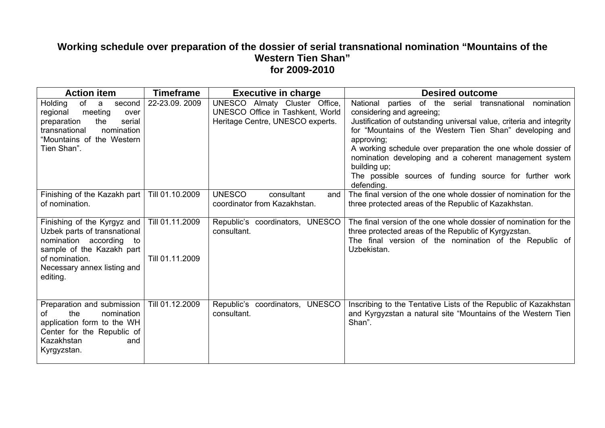## Working schedule over preparation of the dossier of serial transnational nomination "Mountains of the **Western Tien Shan" for 2009-2010**

| <b>Action item</b>                                                                                                                                                                  | <b>Timeframe</b>                   | <b>Executive in charge</b>                                                                            | <b>Desired outcome</b>                                                                                                                                                                                                                                                                                                                                                                                                                                         |
|-------------------------------------------------------------------------------------------------------------------------------------------------------------------------------------|------------------------------------|-------------------------------------------------------------------------------------------------------|----------------------------------------------------------------------------------------------------------------------------------------------------------------------------------------------------------------------------------------------------------------------------------------------------------------------------------------------------------------------------------------------------------------------------------------------------------------|
| Holding<br>of<br>a<br>second<br>meeting<br>regional<br>over<br>the<br>preparation<br>serial<br>transnational<br>nomination<br>"Mountains of the Western<br>Tien Shan".              | 22-23.09. 2009                     | UNESCO Almaty Cluster Office,<br>UNESCO Office in Tashkent, World<br>Heritage Centre, UNESCO experts. | National<br>parties of the serial transnational<br>nomination<br>considering and agreeing;<br>Justification of outstanding universal value, criteria and integrity<br>for "Mountains of the Western Tien Shan" developing and<br>approving;<br>A working schedule over preparation the one whole dossier of<br>nomination developing and a coherent management system<br>building up;<br>The possible sources of funding source for further work<br>defending. |
| Finishing of the Kazakh part<br>of nomination.                                                                                                                                      | Till 01.10.2009                    | <b>UNESCO</b><br>consultant<br>and<br>coordinator from Kazakhstan.                                    | The final version of the one whole dossier of nomination for the<br>three protected areas of the Republic of Kazakhstan.                                                                                                                                                                                                                                                                                                                                       |
| Finishing of the Kyrgyz and<br>Uzbek parts of transnational<br>nomination according<br>to<br>sample of the Kazakh part<br>of nomination.<br>Necessary annex listing and<br>editing. | Till 01.11.2009<br>Till 01.11.2009 | Republic's coordinators, UNESCO<br>consultant.                                                        | The final version of the one whole dossier of nomination for the<br>three protected areas of the Republic of Kyrgyzstan.<br>The final version of the nomination of the Republic of<br>Uzbekistan.                                                                                                                                                                                                                                                              |
| Preparation and submission<br>the<br>nomination<br>Ωf<br>application form to the WH<br>Center for the Republic of<br>Kazakhstan<br>and<br>Kyrgyzstan.                               | Till 01.12.2009                    | <b>UNESCO</b><br>Republic's coordinators,<br>consultant.                                              | Inscribing to the Tentative Lists of the Republic of Kazakhstan<br>and Kyrgyzstan a natural site "Mountains of the Western Tien<br>Shan".                                                                                                                                                                                                                                                                                                                      |